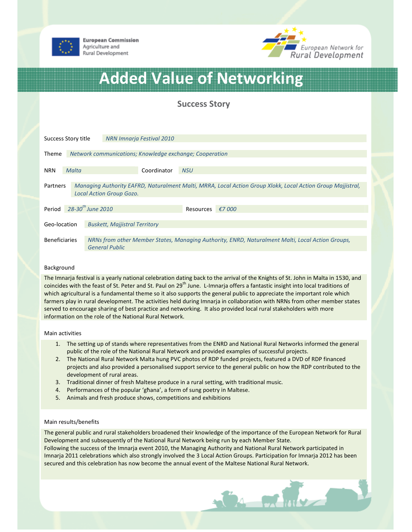



# Added Value of Networking

Success Story

| Success Story title  |       |                                                                                                                           | NRN Imnaria Festival 2010 |             |                            |  |                                                                                                             |  |  |  |
|----------------------|-------|---------------------------------------------------------------------------------------------------------------------------|---------------------------|-------------|----------------------------|--|-------------------------------------------------------------------------------------------------------------|--|--|--|
|                      |       |                                                                                                                           |                           |             |                            |  |                                                                                                             |  |  |  |
| Theme                |       | Network communications; Knowledge exchange; Cooperation                                                                   |                           |             |                            |  |                                                                                                             |  |  |  |
| <b>NRN</b>           | Malta |                                                                                                                           |                           | Coordinator | <b>NSU</b>                 |  |                                                                                                             |  |  |  |
|                      |       |                                                                                                                           |                           |             |                            |  |                                                                                                             |  |  |  |
| Partners             |       | <b>Local Action Group Gozo.</b>                                                                                           |                           |             |                            |  | Managing Authority EAFRD, Naturalment Malti, MRRA, Local Action Group Xlokk, Local Action Group Majjistral, |  |  |  |
|                      |       |                                                                                                                           |                           |             |                            |  |                                                                                                             |  |  |  |
| Period               |       | $28 - 30$ <sup>th</sup> June 2010                                                                                         |                           |             | €7 000<br><b>Resources</b> |  |                                                                                                             |  |  |  |
|                      |       |                                                                                                                           |                           |             |                            |  |                                                                                                             |  |  |  |
| Geo-location         |       | <b>Buskett, Majjistral Territory</b>                                                                                      |                           |             |                            |  |                                                                                                             |  |  |  |
|                      |       |                                                                                                                           |                           |             |                            |  |                                                                                                             |  |  |  |
| <b>Beneficiaries</b> |       | NRNs from other Member States, Managing Authority, ENRD, Naturalment Malti, Local Action Groups,<br><b>General Public</b> |                           |             |                            |  |                                                                                                             |  |  |  |
|                      |       |                                                                                                                           |                           |             |                            |  |                                                                                                             |  |  |  |

## Background

The Imnarja festival is a yearly national celebration dating back to the arrival of the Knights of St. John in Malta in 1530, and coincides with the feast of St. Peter and St. Paul on  $29<sup>th</sup>$  June. L-Imnarja offers a fantastic insight into local traditions of which agricultural is a fundamental theme so it also supports the general public to appreciate the important role which farmers play in rural development. The activities held during Imnarja in collaboration with NRNs from other member states served to encourage sharing of best practice and networking. It also provided local rural stakeholders with more information on the role of the National Rural Network.

## Main activities

- 1. The setting up of stands where representatives from the ENRD and National Rural Networks informed the general public of the role of the National Rural Network and provided examples of successful projects.
- 2. The National Rural Network Malta hung PVC photos of RDP funded projects, featured a DVD of RDP financed projects and also provided a personalised support service to the general public on how the RDP contributed to the development of rural areas.
- 3. Traditional dinner of fresh Maltese produce in a rural setting, with traditional music.
- 4. Performances of the popular 'għana', a form of sung poetry in Maltese.
- 5. Animals and fresh produce shows, competitions and exhibitions

## Main results/benefits

The general public and rural stakeholders broadened their knowledge of the importance of the European Network for Rural Development and subsequently of the National Rural Network being run by each Member State. Following the success of the Imnarja event 2010, the Managing Authority and National Rural Network participated in Imnaria 2011 celebrations which also strongly involved the 3 Local Action Groups. Participation for Imnaria 2012 has been secured and this celebration has now become the annual event of the Maltese National Rural Network.

 $\mathbf{a}$  or  $\mathbf{a}$